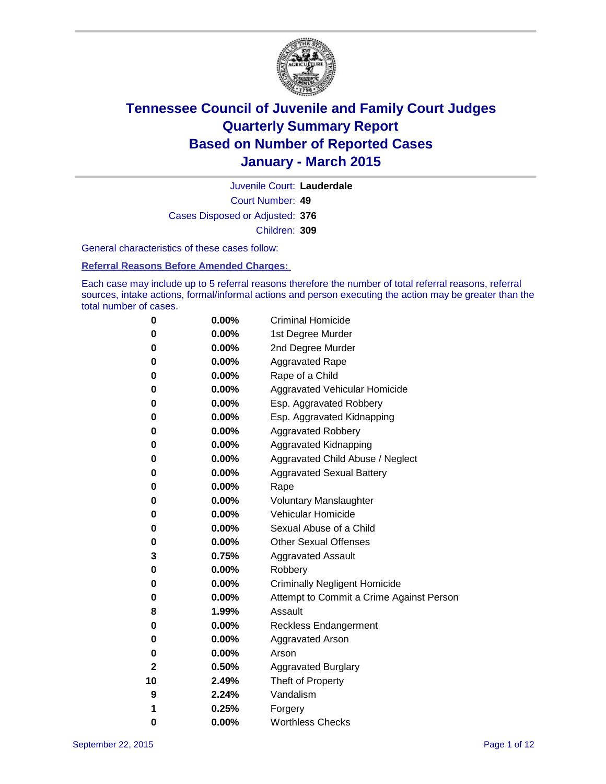

Court Number: **49** Juvenile Court: **Lauderdale** Cases Disposed or Adjusted: **376** Children: **309**

General characteristics of these cases follow:

### **Referral Reasons Before Amended Charges:**

Each case may include up to 5 referral reasons therefore the number of total referral reasons, referral sources, intake actions, formal/informal actions and person executing the action may be greater than the total number of cases.

| 0  | $0.00\%$ | <b>Criminal Homicide</b>                 |
|----|----------|------------------------------------------|
| 0  | 0.00%    | 1st Degree Murder                        |
| 0  | 0.00%    | 2nd Degree Murder                        |
| 0  | 0.00%    | <b>Aggravated Rape</b>                   |
| 0  | $0.00\%$ | Rape of a Child                          |
| 0  | 0.00%    | Aggravated Vehicular Homicide            |
| 0  | 0.00%    | Esp. Aggravated Robbery                  |
| 0  | 0.00%    | Esp. Aggravated Kidnapping               |
| 0  | $0.00\%$ | <b>Aggravated Robbery</b>                |
| 0  | 0.00%    | Aggravated Kidnapping                    |
| 0  | 0.00%    | Aggravated Child Abuse / Neglect         |
| 0  | $0.00\%$ | <b>Aggravated Sexual Battery</b>         |
| 0  | $0.00\%$ | Rape                                     |
| 0  | 0.00%    | <b>Voluntary Manslaughter</b>            |
| 0  | 0.00%    | Vehicular Homicide                       |
| 0  | $0.00\%$ | Sexual Abuse of a Child                  |
| 0  | $0.00\%$ | <b>Other Sexual Offenses</b>             |
| 3  | 0.75%    | <b>Aggravated Assault</b>                |
| 0  | 0.00%    | Robbery                                  |
| 0  | $0.00\%$ | <b>Criminally Negligent Homicide</b>     |
| 0  | $0.00\%$ | Attempt to Commit a Crime Against Person |
| 8  | 1.99%    | Assault                                  |
| 0  | 0.00%    | Reckless Endangerment                    |
| 0  | $0.00\%$ | <b>Aggravated Arson</b>                  |
| 0  | $0.00\%$ | Arson                                    |
| 2  | 0.50%    | <b>Aggravated Burglary</b>               |
| 10 | 2.49%    | Theft of Property                        |
| 9  | 2.24%    | Vandalism                                |
| 1  | 0.25%    | Forgery                                  |
| 0  | 0.00%    | <b>Worthless Checks</b>                  |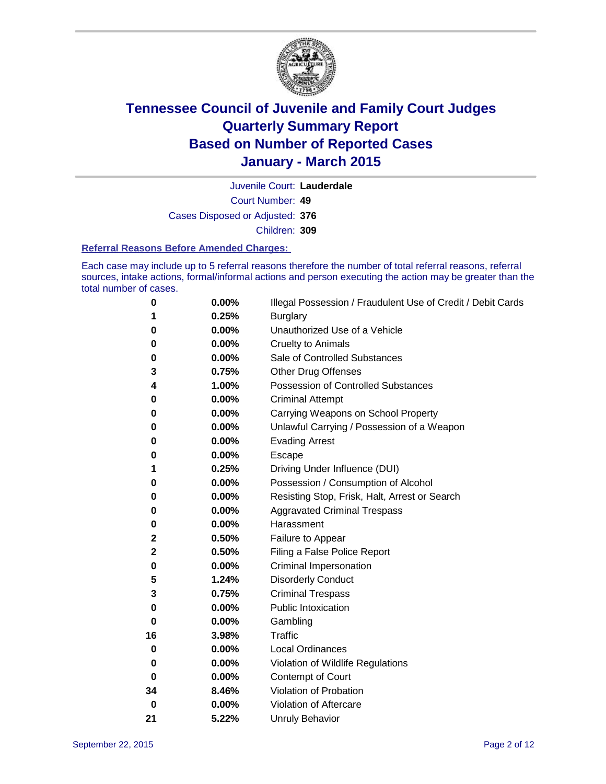

Court Number: **49** Juvenile Court: **Lauderdale** Cases Disposed or Adjusted: **376** Children: **309**

#### **Referral Reasons Before Amended Charges:**

Each case may include up to 5 referral reasons therefore the number of total referral reasons, referral sources, intake actions, formal/informal actions and person executing the action may be greater than the total number of cases.

| 0  | 0.00% | Illegal Possession / Fraudulent Use of Credit / Debit Cards |
|----|-------|-------------------------------------------------------------|
| 1  | 0.25% | <b>Burglary</b>                                             |
| 0  | 0.00% | Unauthorized Use of a Vehicle                               |
| 0  | 0.00% | <b>Cruelty to Animals</b>                                   |
| 0  | 0.00% | Sale of Controlled Substances                               |
| 3  | 0.75% | <b>Other Drug Offenses</b>                                  |
| 4  | 1.00% | Possession of Controlled Substances                         |
| 0  | 0.00% | <b>Criminal Attempt</b>                                     |
| 0  | 0.00% | Carrying Weapons on School Property                         |
| 0  | 0.00% | Unlawful Carrying / Possession of a Weapon                  |
| 0  | 0.00% | <b>Evading Arrest</b>                                       |
| 0  | 0.00% | Escape                                                      |
| 1  | 0.25% | Driving Under Influence (DUI)                               |
| 0  | 0.00% | Possession / Consumption of Alcohol                         |
| 0  | 0.00% | Resisting Stop, Frisk, Halt, Arrest or Search               |
| 0  | 0.00% | <b>Aggravated Criminal Trespass</b>                         |
| 0  | 0.00% | Harassment                                                  |
| 2  | 0.50% | Failure to Appear                                           |
| 2  | 0.50% | Filing a False Police Report                                |
| 0  | 0.00% | Criminal Impersonation                                      |
| 5  | 1.24% | <b>Disorderly Conduct</b>                                   |
| 3  | 0.75% | <b>Criminal Trespass</b>                                    |
| 0  | 0.00% | <b>Public Intoxication</b>                                  |
| 0  | 0.00% | Gambling                                                    |
| 16 | 3.98% | <b>Traffic</b>                                              |
| 0  | 0.00% | <b>Local Ordinances</b>                                     |
| 0  | 0.00% | Violation of Wildlife Regulations                           |
| 0  | 0.00% | Contempt of Court                                           |
| 34 | 8.46% | Violation of Probation                                      |
| 0  | 0.00% | Violation of Aftercare                                      |
| 21 | 5.22% | <b>Unruly Behavior</b>                                      |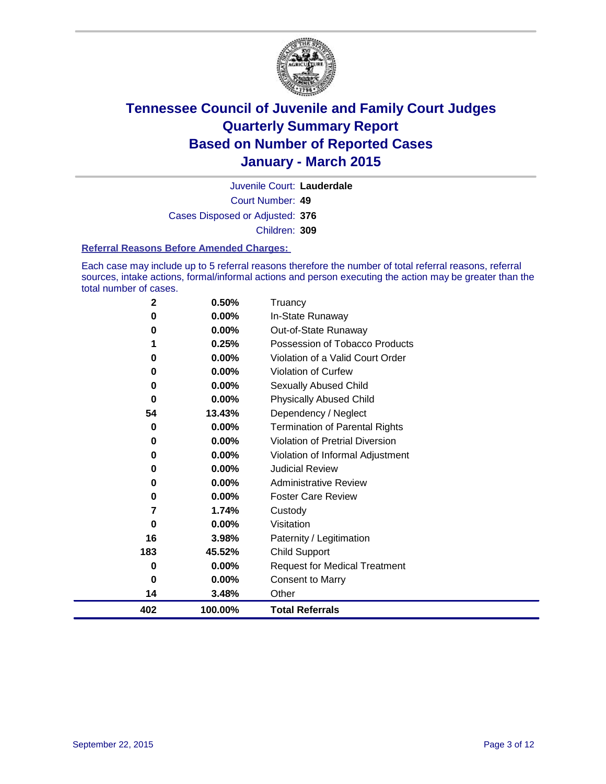

Court Number: **49** Juvenile Court: **Lauderdale** Cases Disposed or Adjusted: **376** Children: **309**

#### **Referral Reasons Before Amended Charges:**

Each case may include up to 5 referral reasons therefore the number of total referral reasons, referral sources, intake actions, formal/informal actions and person executing the action may be greater than the total number of cases.

| $\mathbf{2}$ | 0.50%   | Truancy                               |
|--------------|---------|---------------------------------------|
| 0            | 0.00%   | In-State Runaway                      |
| 0            | 0.00%   | Out-of-State Runaway                  |
| 1            | 0.25%   | Possession of Tobacco Products        |
| 0            | 0.00%   | Violation of a Valid Court Order      |
| 0            | 0.00%   | <b>Violation of Curfew</b>            |
| 0            | 0.00%   | Sexually Abused Child                 |
| 0            | 0.00%   | <b>Physically Abused Child</b>        |
| 54           | 13.43%  | Dependency / Neglect                  |
| 0            | 0.00%   | <b>Termination of Parental Rights</b> |
| 0            | 0.00%   | Violation of Pretrial Diversion       |
| 0            | 0.00%   | Violation of Informal Adjustment      |
| 0            | 0.00%   | <b>Judicial Review</b>                |
| 0            | 0.00%   | <b>Administrative Review</b>          |
| 0            | 0.00%   | <b>Foster Care Review</b>             |
| 7            | 1.74%   | Custody                               |
| 0            | 0.00%   | Visitation                            |
| 16           | 3.98%   | Paternity / Legitimation              |
| 183          | 45.52%  | <b>Child Support</b>                  |
| 0            | 0.00%   | <b>Request for Medical Treatment</b>  |
| 0            | 0.00%   | <b>Consent to Marry</b>               |
| 14           | 3.48%   | Other                                 |
| 402          | 100.00% | <b>Total Referrals</b>                |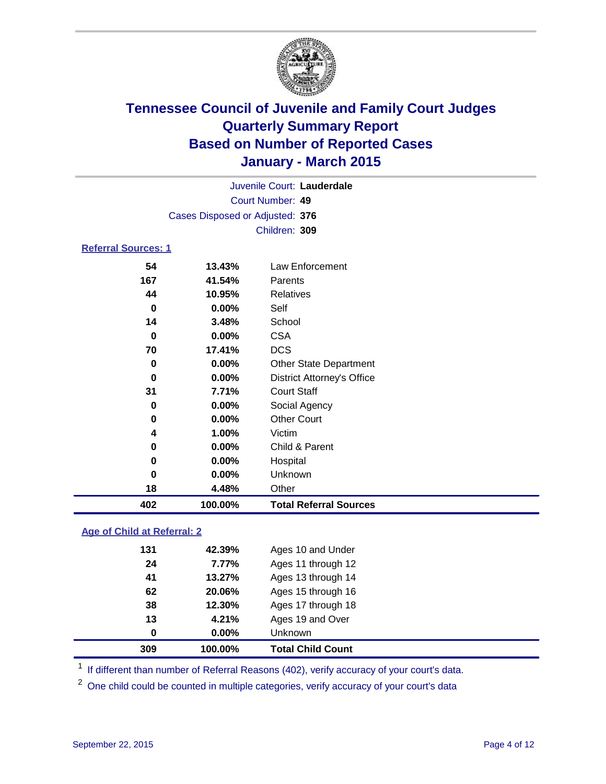

| Juvenile Court: Lauderdale       |  |
|----------------------------------|--|
| Court Number: 49                 |  |
| Cases Disposed or Adjusted: 376  |  |
| Children: 309                    |  |
| <b>Referral Sources: 1</b>       |  |
| $\overline{18}$ $\overline{180}$ |  |

### **13.43%** Law Enforcement **41.54%** Parents **10.95%** Relatives **0.00%** Self **3.48%** School **0.00%** CSA **17.41%** DCS **0.00%** Other State Department **0.00%** District Attorney's Office **7.71%** Court Staff **0.00%** Social Agency **0.00%** Other Court **1.00%** Victim **0.00%** Child & Parent **0.00%** Hospital **0.00%** Unknown **4.48%** Other **100.00% Total Referral Sources**

### **Age of Child at Referral: 2**

| 309 | 100.00%  | <b>Total Child Count</b> |
|-----|----------|--------------------------|
| 0   | $0.00\%$ | <b>Unknown</b>           |
| 13  | 4.21%    | Ages 19 and Over         |
| 38  | 12.30%   | Ages 17 through 18       |
| 62  | 20.06%   | Ages 15 through 16       |
| 41  | 13.27%   | Ages 13 through 14       |
| 24  | 7.77%    | Ages 11 through 12       |
| 131 | 42.39%   | Ages 10 and Under        |

<sup>1</sup> If different than number of Referral Reasons (402), verify accuracy of your court's data.

<sup>2</sup> One child could be counted in multiple categories, verify accuracy of your court's data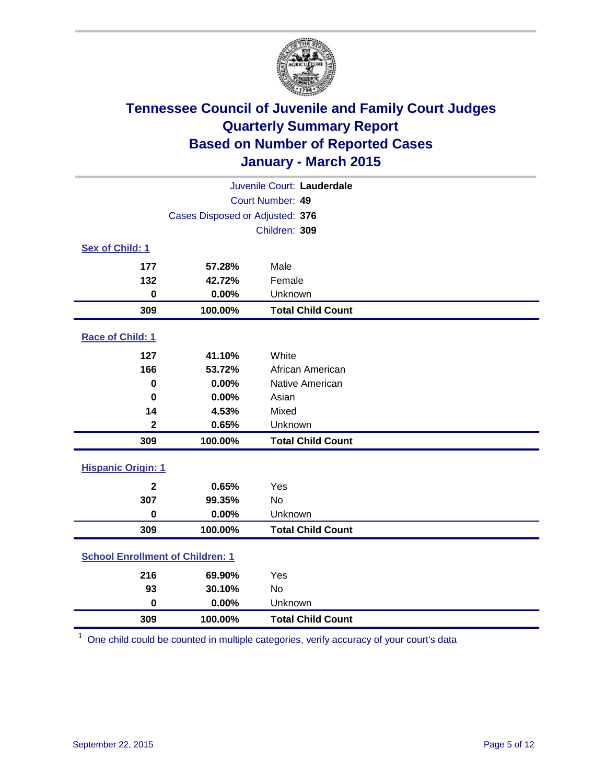

| Juvenile Court: Lauderdale              |         |                          |  |
|-----------------------------------------|---------|--------------------------|--|
| Court Number: 49                        |         |                          |  |
| Cases Disposed or Adjusted: 376         |         |                          |  |
|                                         |         | Children: 309            |  |
| Sex of Child: 1                         |         |                          |  |
| 177                                     | 57.28%  | Male                     |  |
| 132                                     | 42.72%  | Female                   |  |
| $\mathbf 0$                             | 0.00%   | Unknown                  |  |
| 309                                     | 100.00% | <b>Total Child Count</b> |  |
| Race of Child: 1                        |         |                          |  |
| 127                                     | 41.10%  | White                    |  |
| 166                                     | 53.72%  | African American         |  |
| $\bf{0}$                                | 0.00%   | Native American          |  |
| $\bf{0}$                                | 0.00%   | Asian                    |  |
| 14                                      | 4.53%   | Mixed                    |  |
| $\mathbf 2$                             | 0.65%   | Unknown                  |  |
| 309                                     | 100.00% | <b>Total Child Count</b> |  |
| <b>Hispanic Origin: 1</b>               |         |                          |  |
| $\mathbf{2}$                            | 0.65%   | Yes                      |  |
| 307                                     | 99.35%  | <b>No</b>                |  |
| $\bf{0}$                                | 0.00%   | Unknown                  |  |
| 309                                     | 100.00% | <b>Total Child Count</b> |  |
| <b>School Enrollment of Children: 1</b> |         |                          |  |
| 216                                     | 69.90%  | Yes                      |  |
| 93                                      | 30.10%  | No                       |  |
| $\mathbf 0$                             | 0.00%   | Unknown                  |  |
| 309                                     | 100.00% | <b>Total Child Count</b> |  |

One child could be counted in multiple categories, verify accuracy of your court's data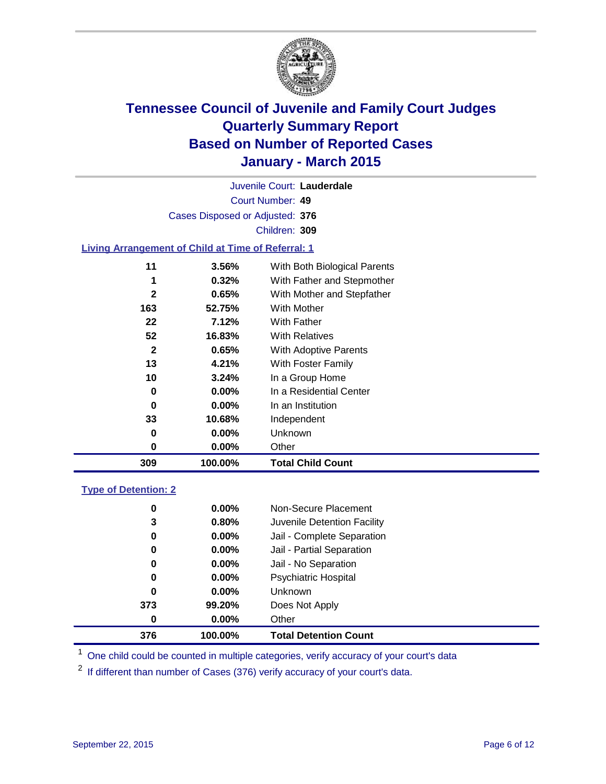

Court Number: **49** Juvenile Court: **Lauderdale** Cases Disposed or Adjusted: **376** Children: **309**

### **Living Arrangement of Child at Time of Referral: 1**

| 309 | 100.00%  | <b>Total Child Count</b>     |
|-----|----------|------------------------------|
| 0   | $0.00\%$ | Other                        |
| 0   | $0.00\%$ | Unknown                      |
| 33  | 10.68%   | Independent                  |
| 0   | $0.00\%$ | In an Institution            |
| 0   | $0.00\%$ | In a Residential Center      |
| 10  | 3.24%    | In a Group Home              |
| 13  | 4.21%    | With Foster Family           |
| 2   | 0.65%    | <b>With Adoptive Parents</b> |
| 52  | 16.83%   | <b>With Relatives</b>        |
| 22  | 7.12%    | With Father                  |
| 163 | 52.75%   | <b>With Mother</b>           |
| 2   | 0.65%    | With Mother and Stepfather   |
| 1   | $0.32\%$ | With Father and Stepmother   |
| 11  | $3.56\%$ | With Both Biological Parents |
|     |          |                              |

### **Type of Detention: 2**

| 0<br>3<br>0<br>0<br>0<br>0<br>0<br>373 | $0.00\%$<br>0.80%<br>$0.00\%$<br>0.00%<br>$0.00\%$<br>$0.00\%$<br>$0.00\%$<br>99.20% | Non-Secure Placement<br>Juvenile Detention Facility<br>Jail - Complete Separation<br>Jail - Partial Separation<br>Jail - No Separation<br><b>Psychiatric Hospital</b><br><b>Unknown</b><br>Does Not Apply |  |
|----------------------------------------|--------------------------------------------------------------------------------------|-----------------------------------------------------------------------------------------------------------------------------------------------------------------------------------------------------------|--|
| 0                                      | $0.00\%$                                                                             | Other                                                                                                                                                                                                     |  |
| 376                                    | 100.00%                                                                              | <b>Total Detention Count</b>                                                                                                                                                                              |  |

<sup>1</sup> One child could be counted in multiple categories, verify accuracy of your court's data

If different than number of Cases (376) verify accuracy of your court's data.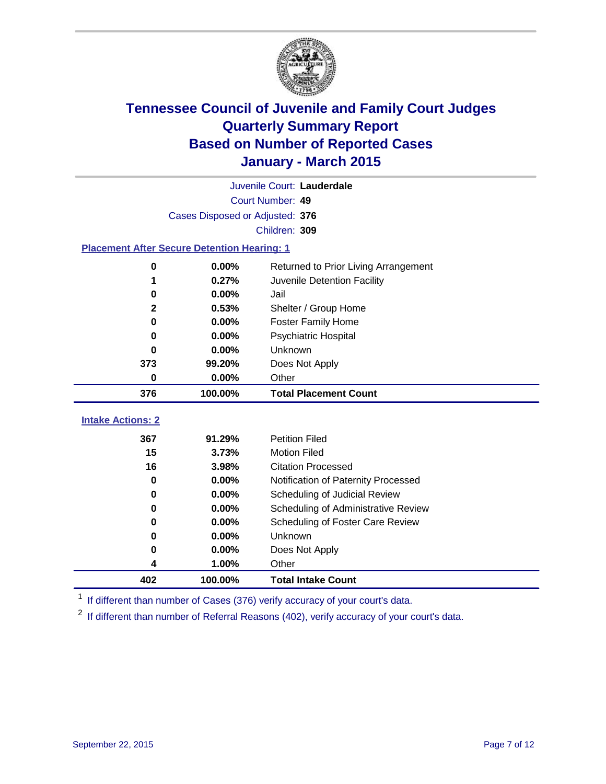

|                                                    |                                 | Juvenile Court: Lauderdale           |
|----------------------------------------------------|---------------------------------|--------------------------------------|
|                                                    |                                 | Court Number: 49                     |
|                                                    | Cases Disposed or Adjusted: 376 |                                      |
|                                                    |                                 | Children: 309                        |
| <b>Placement After Secure Detention Hearing: 1</b> |                                 |                                      |
| 0                                                  | 0.00%                           | Returned to Prior Living Arrangement |
| 1                                                  | 0.27%                           | Juvenile Detention Facility          |
| 0                                                  | 0.00%                           | Jail                                 |
| 2                                                  | 0.53%                           | Shelter / Group Home                 |
| $\bf{0}$                                           | 0.00%                           | <b>Foster Family Home</b>            |
| $\bf{0}$                                           | 0.00%                           | <b>Psychiatric Hospital</b>          |
| 0                                                  | 0.00%                           | Unknown                              |
| 373                                                | 99.20%                          | Does Not Apply                       |
| $\bf{0}$                                           | 0.00%                           | Other                                |
| 376                                                | 100.00%                         | <b>Total Placement Count</b>         |
| <b>Intake Actions: 2</b>                           |                                 |                                      |
|                                                    |                                 |                                      |
| 367                                                | 91.29%                          | <b>Petition Filed</b>                |
| 15                                                 | 3.73%                           | <b>Motion Filed</b>                  |
| 16                                                 | 3.98%                           | <b>Citation Processed</b>            |
| 0                                                  | 0.00%                           | Notification of Paternity Processed  |
| 0                                                  | 0.00%                           | Scheduling of Judicial Review        |
| 0                                                  | 0.00%                           | Scheduling of Administrative Review  |
| 0                                                  | 0.00%                           | Scheduling of Foster Care Review     |
| 0                                                  | 0.00%                           | Unknown                              |
| 0                                                  | 0.00%                           | Does Not Apply                       |
| 4                                                  | 1.00%                           | Other                                |
| 402                                                | 100.00%                         | <b>Total Intake Count</b>            |

<sup>1</sup> If different than number of Cases (376) verify accuracy of your court's data.

<sup>2</sup> If different than number of Referral Reasons (402), verify accuracy of your court's data.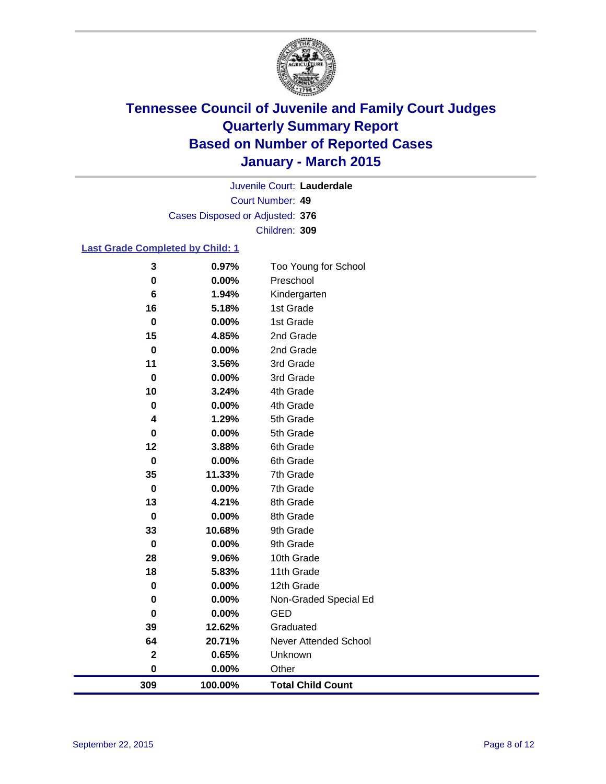

Court Number: **49** Juvenile Court: **Lauderdale** Cases Disposed or Adjusted: **376** Children: **309**

### **Last Grade Completed by Child: 1**

| 3           | 0.97%    | Too Young for School         |
|-------------|----------|------------------------------|
| 0           | $0.00\%$ | Preschool                    |
| 6           | 1.94%    | Kindergarten                 |
| 16          | 5.18%    | 1st Grade                    |
| $\pmb{0}$   | 0.00%    | 1st Grade                    |
| 15          | 4.85%    | 2nd Grade                    |
| $\bf{0}$    | 0.00%    | 2nd Grade                    |
| 11          | 3.56%    | 3rd Grade                    |
| $\bf{0}$    | 0.00%    | 3rd Grade                    |
| 10          | 3.24%    | 4th Grade                    |
| 0           | 0.00%    | 4th Grade                    |
| 4           | 1.29%    | 5th Grade                    |
| 0           | 0.00%    | 5th Grade                    |
| 12          | 3.88%    | 6th Grade                    |
| $\bf{0}$    | 0.00%    | 6th Grade                    |
| 35          | 11.33%   | 7th Grade                    |
| $\mathbf 0$ | 0.00%    | 7th Grade                    |
| 13          | 4.21%    | 8th Grade                    |
| 0           | 0.00%    | 8th Grade                    |
| 33          | 10.68%   | 9th Grade                    |
| 0           | 0.00%    | 9th Grade                    |
| 28          | 9.06%    | 10th Grade                   |
| 18          | 5.83%    | 11th Grade                   |
| 0           | 0.00%    | 12th Grade                   |
| 0           | 0.00%    | Non-Graded Special Ed        |
| 0           | 0.00%    | <b>GED</b>                   |
| 39          | 12.62%   | Graduated                    |
| 64          | 20.71%   | <b>Never Attended School</b> |
| $\mathbf 2$ | 0.65%    | Unknown                      |
| $\pmb{0}$   | 0.00%    | Other                        |
| 309         | 100.00%  | <b>Total Child Count</b>     |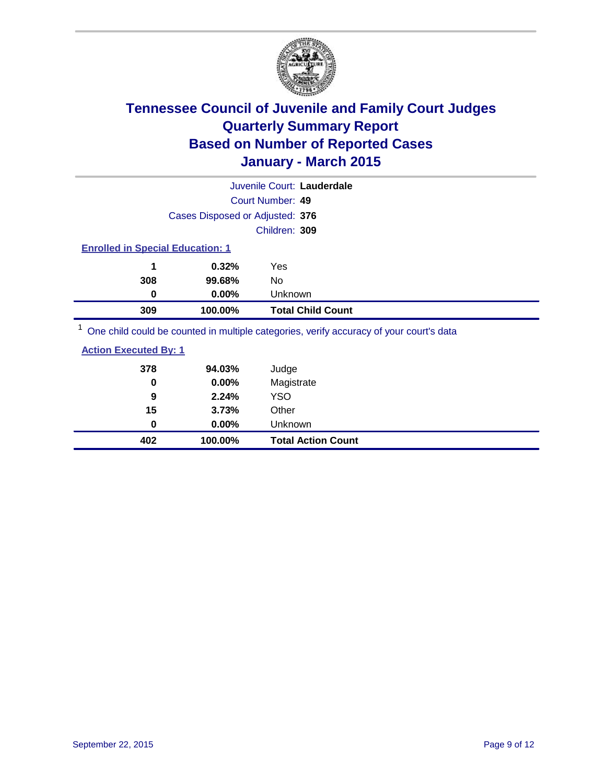

| Juvenile Court: Lauderdale                                                              |                          |  |  |
|-----------------------------------------------------------------------------------------|--------------------------|--|--|
| Court Number: 49                                                                        |                          |  |  |
| Cases Disposed or Adjusted: 376                                                         |                          |  |  |
| Children: 309                                                                           |                          |  |  |
| <b>Enrolled in Special Education: 1</b>                                                 |                          |  |  |
| 0.32%<br>Yes<br>1                                                                       |                          |  |  |
| 308<br>No<br>99.68%                                                                     |                          |  |  |
| $0.00\%$<br>Unknown<br>0                                                                |                          |  |  |
| 309<br>100.00%                                                                          | <b>Total Child Count</b> |  |  |
| One child could be counted in multiple categories, verify accuracy of your court's data |                          |  |  |

| <b>Action Executed By: 1</b> |          |                           |  |
|------------------------------|----------|---------------------------|--|
| 378                          | 94.03%   | Judge                     |  |
| 0                            | 0.00%    | Magistrate                |  |
| 9                            | 2.24%    | YSO                       |  |
| 15                           | 3.73%    | Other                     |  |
| 0                            | $0.00\%$ | Unknown                   |  |
| 402                          | 100.00%  | <b>Total Action Count</b> |  |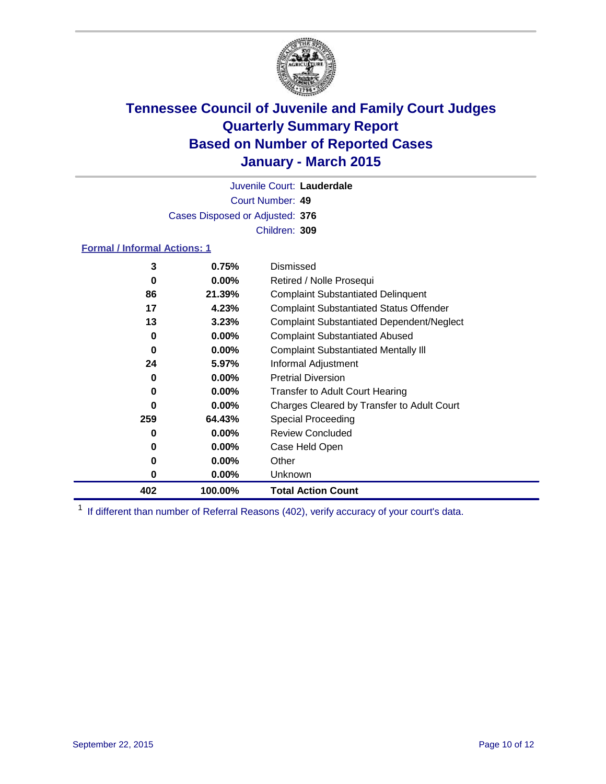

Court Number: **49** Juvenile Court: **Lauderdale** Cases Disposed or Adjusted: **376** Children: **309**

### **Formal / Informal Actions: 1**

| 3   | 0.75%    | Dismissed                                        |
|-----|----------|--------------------------------------------------|
| 0   | $0.00\%$ | Retired / Nolle Prosequi                         |
| 86  | 21.39%   | <b>Complaint Substantiated Delinquent</b>        |
| 17  | 4.23%    | <b>Complaint Substantiated Status Offender</b>   |
| 13  | 3.23%    | <b>Complaint Substantiated Dependent/Neglect</b> |
| 0   | $0.00\%$ | <b>Complaint Substantiated Abused</b>            |
| 0   | $0.00\%$ | <b>Complaint Substantiated Mentally III</b>      |
| 24  | 5.97%    | Informal Adjustment                              |
| 0   | $0.00\%$ | <b>Pretrial Diversion</b>                        |
| 0   | $0.00\%$ | <b>Transfer to Adult Court Hearing</b>           |
| 0   | $0.00\%$ | Charges Cleared by Transfer to Adult Court       |
| 259 | 64.43%   | <b>Special Proceeding</b>                        |
| 0   | $0.00\%$ | <b>Review Concluded</b>                          |
| 0   | $0.00\%$ | Case Held Open                                   |
| 0   | $0.00\%$ | Other                                            |
| 0   | $0.00\%$ | Unknown                                          |
| 402 | 100.00%  | <b>Total Action Count</b>                        |

<sup>1</sup> If different than number of Referral Reasons (402), verify accuracy of your court's data.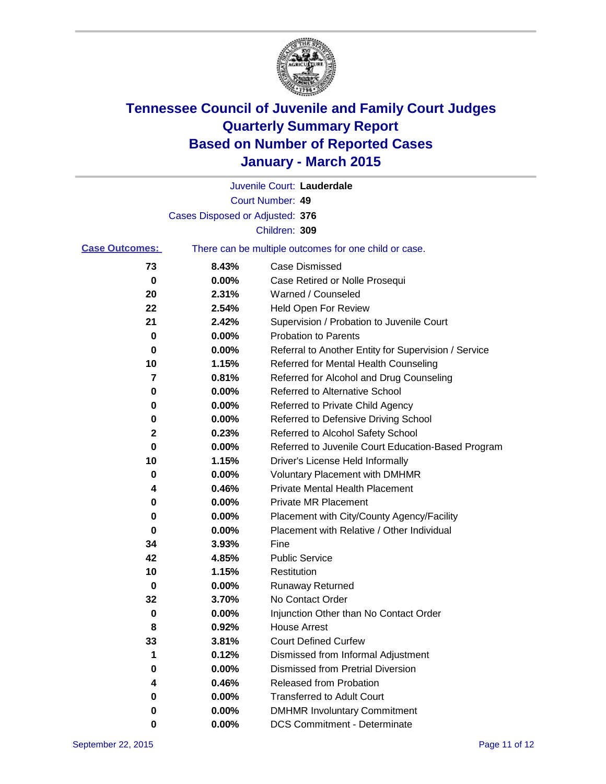

|                       |                                 | Juvenile Court: Lauderdale                            |
|-----------------------|---------------------------------|-------------------------------------------------------|
|                       |                                 | Court Number: 49                                      |
|                       | Cases Disposed or Adjusted: 376 |                                                       |
|                       |                                 | Children: 309                                         |
| <b>Case Outcomes:</b> |                                 | There can be multiple outcomes for one child or case. |
| 73                    | 8.43%                           | <b>Case Dismissed</b>                                 |
| 0                     | 0.00%                           | Case Retired or Nolle Prosequi                        |
| 20                    | 2.31%                           | Warned / Counseled                                    |
| 22                    | 2.54%                           | Held Open For Review                                  |
| 21                    | 2.42%                           | Supervision / Probation to Juvenile Court             |
| 0                     | 0.00%                           | <b>Probation to Parents</b>                           |
| 0                     | 0.00%                           | Referral to Another Entity for Supervision / Service  |
| 10                    | 1.15%                           | Referred for Mental Health Counseling                 |
| 7                     | 0.81%                           | Referred for Alcohol and Drug Counseling              |
| 0                     | 0.00%                           | Referred to Alternative School                        |
| 0                     | 0.00%                           | Referred to Private Child Agency                      |
| 0                     | 0.00%                           | Referred to Defensive Driving School                  |
| 2                     | 0.23%                           | Referred to Alcohol Safety School                     |
| 0                     | 0.00%                           | Referred to Juvenile Court Education-Based Program    |
| 10                    | 1.15%                           | Driver's License Held Informally                      |
| 0                     | 0.00%                           | <b>Voluntary Placement with DMHMR</b>                 |
| 4                     | 0.46%                           | <b>Private Mental Health Placement</b>                |
| 0                     | 0.00%                           | <b>Private MR Placement</b>                           |
| 0                     | 0.00%                           | Placement with City/County Agency/Facility            |
| 0                     | 0.00%                           | Placement with Relative / Other Individual            |
| 34                    | 3.93%                           | Fine                                                  |
| 42                    | 4.85%                           | <b>Public Service</b>                                 |
| 10                    | 1.15%                           | Restitution                                           |
| 0                     | 0.00%                           | <b>Runaway Returned</b>                               |
| 32                    | 3.70%                           | No Contact Order                                      |
| 0                     | 0.00%                           | Injunction Other than No Contact Order                |
| 8                     | 0.92%                           | House Arrest                                          |
| 33                    | 3.81%                           | <b>Court Defined Curfew</b>                           |
| 1                     | 0.12%                           | Dismissed from Informal Adjustment                    |
| 0                     | 0.00%                           | Dismissed from Pretrial Diversion                     |
| 4                     | 0.46%                           | Released from Probation                               |
| 0                     | 0.00%                           | <b>Transferred to Adult Court</b>                     |
| 0                     | 0.00%                           | <b>DMHMR Involuntary Commitment</b>                   |
| 0                     | $0.00\%$                        | <b>DCS Commitment - Determinate</b>                   |